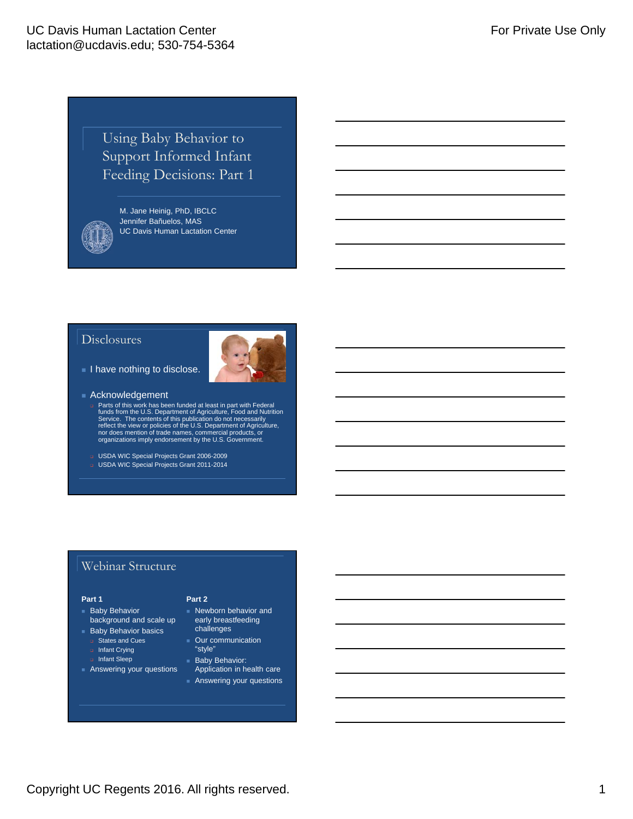# Using Baby Behavior to Support Informed Infant Feeding Decisions: Part 1



M. Jane Heinig, PhD, IBCLC Jennifer Bañuelos, MAS UC Davis Human Lactation Center

#### Disclosures



- I have nothing to disclose.
- Acknowledgement
	- n Parts of this work has been funded at least in part with Federal<br>funds form the U.S. Department of Agriculture, Food and Nutrition<br>Service. The contents of this publication do not necessarily<br>reflect the view or policies
	- USDA WIC Special Projects Grant 2006-2009
	- USDA WIC Special Projects Grant 2011-2014

### Webinar Structure

#### **Part 1**

- **Baby Behavior** background and scale up
- **Baby Behavior basics D** States and Cues
	- nfant Crying
	- Infant Sleep
- **Answering your questions** 
	-
- **Part 2**
- Newborn behavior and early breastfeeding early breas:<br>challenges
- Our communication
- "style" **Baby Behavior:**
- **Application in health care Answering your questions**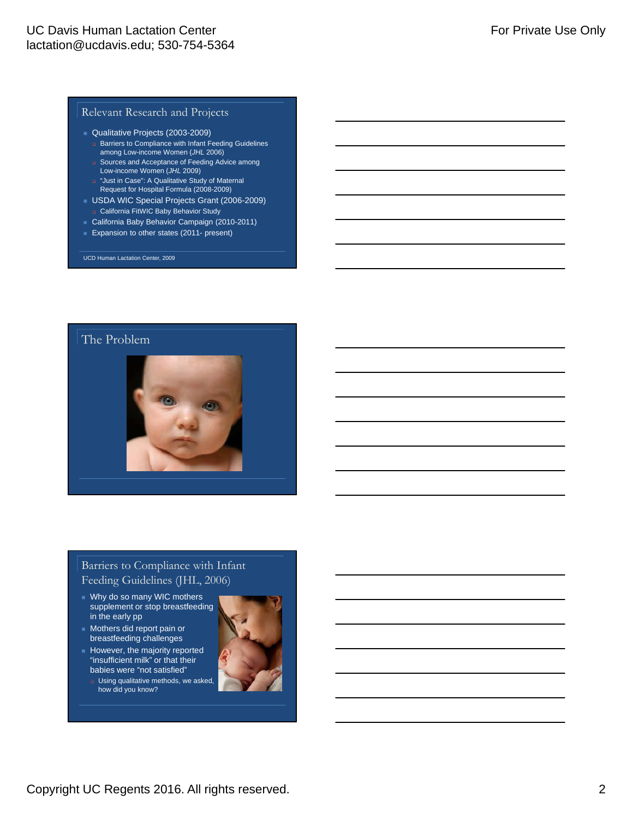#### Relevant Research and Projects

- Qualitative Projects (2003-2009)
	- **Barriers to Compliance with Infant Feeding Guidelines** among Low-income Women (*JHL* 2006)
	- □ Sources and Acceptance of Feeding Advice among Low-income Women (*JHL* 2009)
	- "Just in Case": A Qualitative Study of Maternal Request for Hospital Formula (2008-2009)
- USDA WIC Special Projects Grant (2006-2009) California FitWIC Baby Behavior Study
- California Baby Behavior Campaign (2010-2011)
- **Expansion to other states (2011- present)**

UCD Human Lactation Center, 2009

### The Problem



### Barriers to Compliance with Infant Feeding Guidelines (JHL, 2006)

- Why do so many WIC mothers supplement or stop breastfeeding in the early pp
- **Mothers did report pain or** breastfeeding challenges
- $\blacksquare$  However, the majority reported "insufficient milk" or that their babies were "not satisfied"
	- **u** Using qualitative methods, we asked, how did you know?

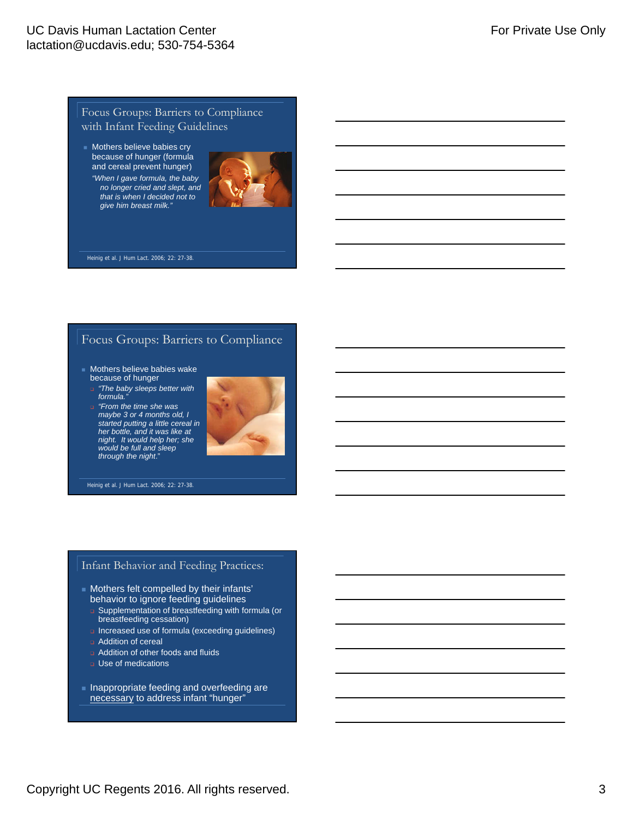#### Focus Groups: Barriers to Compliance with Infant Feeding Guidelines

**Mothers believe babies cry** because of hunger (formula and cereal prevent hunger) *"When I gave formula, the baby no longer cried and slept, and that is when I decided not to give him breast milk."*



Heinig et al. J Hum Lact. 2006; 22: 27-38.

### Focus Groups: Barriers to Compliance

- **Mothers believe babies wake** because of hunger
- *"The baby sleeps better with formula."*
- *"From the time she was maybe 3 or 4 months old, I started putting a little cereal in her bottle, and it was like at night. It would help her; she would be full and sleep through the night*."



Heinig et al. J Hum Lact. 2006; 22: 27-38.

#### Infant Behavior and Feeding Practices:

- Mothers felt compelled by their infants' behavior to ignore feeding guidelines
- Supplementation of breastfeeding with formula (or breastfeeding cessation)
- **Increased use of formula (exceeding guidelines)**
- **a** Addition of cereal
- Addition of other foods and fluids
- Use of medications
- **Inappropriate feeding and overfeeding are** necessary to address infant "hunger"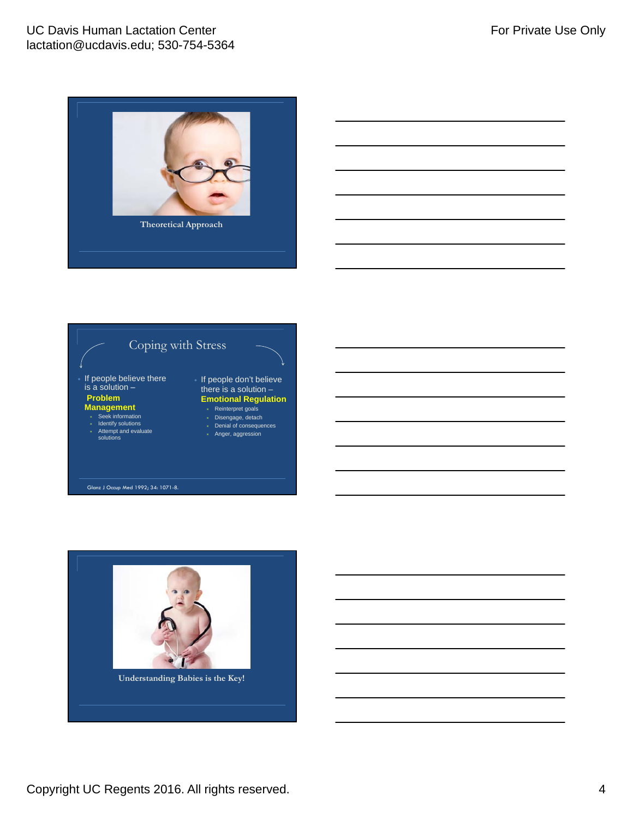### UC Davis Human Lactation Center lactation@ucdavis.edu; 530-754-5364





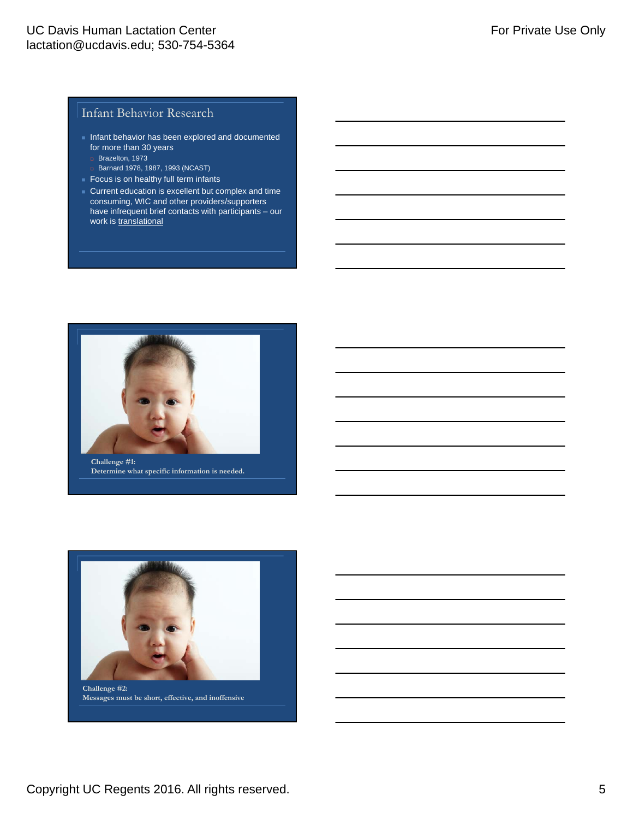### Infant Behavior Research

- Infant behavior has been explored and documented for more than 30 years
	- Brazelton, 1973
- **Barnard 1978, 1987, 1993 (NCAST)**
- Focus is on healthy full term infants
- Current education is excellent but complex and time consuming, WIC and other providers/supporters have infrequent brief contacts with participants – our work is translational



**Challenge #1: Determine what specific information is needed.**

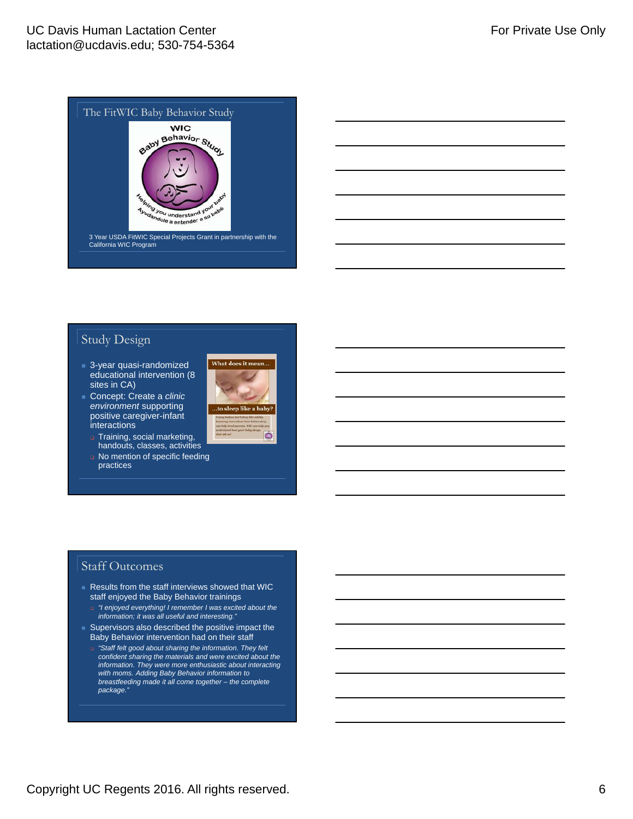

### Study Design

- 3-year quasi-randomized educational intervention (8 sites in CA)
- Concept: Create a *clinic environment* supporting positive caregiver-infant interactions
	- **Training, social marketing,**
	- handouts, classes, activities No mention of specific feeding practices





### Staff Outcomes

- Results from the staff interviews showed that WIC staff enjoyed the Baby Behavior trainings
	- *"I enjoyed everything! I remember I was excited about the information; it was all useful and interesting."*
- $\blacksquare$  Supervisors also described the positive impact the Baby Behavior intervention had on their staff
	- *"Staff felt good about sharing the information. They felt confident sharing the materials and were excited about the information. They were more enthusiastic about interacting with moms. Adding Baby Behavior information to breastfeeding made it all come together – the complete package."*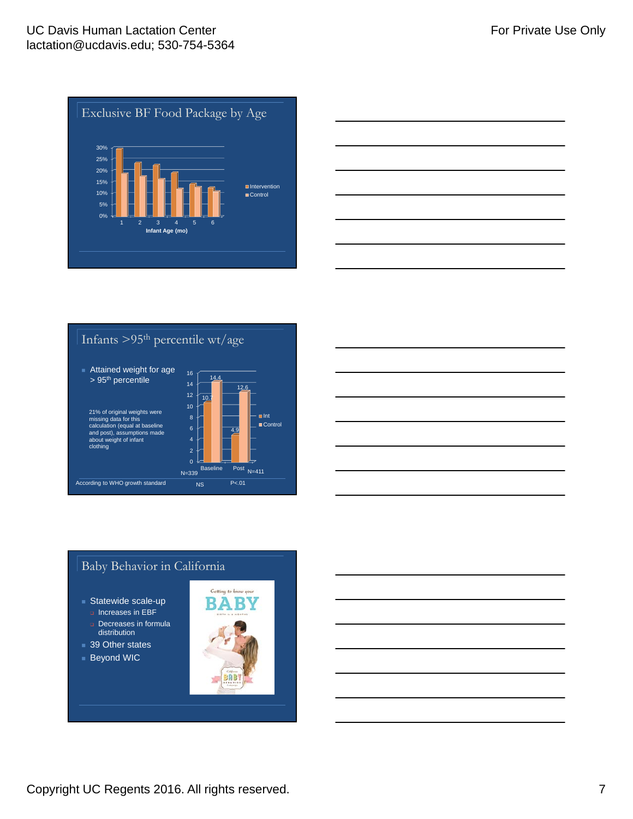



Infants >95th percentile wt/age





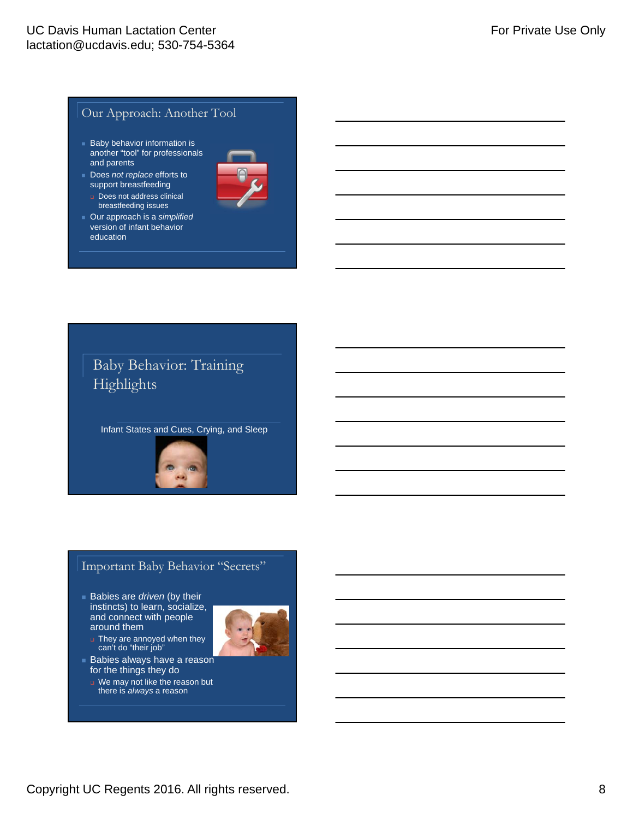### Our Approach: Another Tool

- **Baby behavior information is** another "tool" for professionals and parents
- Does *not replace* efforts to support breastfeeding
- Does not address clinical breastfeeding issues
- Our approach is a *simplified* version of infant behavior education



# Baby Behavior: Training Highlights

Infant States and Cues, Crying, and Sleep



# Important Baby Behavior "Secrets"

 Babies are *driven* (by their instincts) to learn, socialize, and connect with people around them



- **They are annoyed when they** can't do "their job"
- **Babies always have a reason** for the things they do
	- U We may not like the reason but there is *always* a reason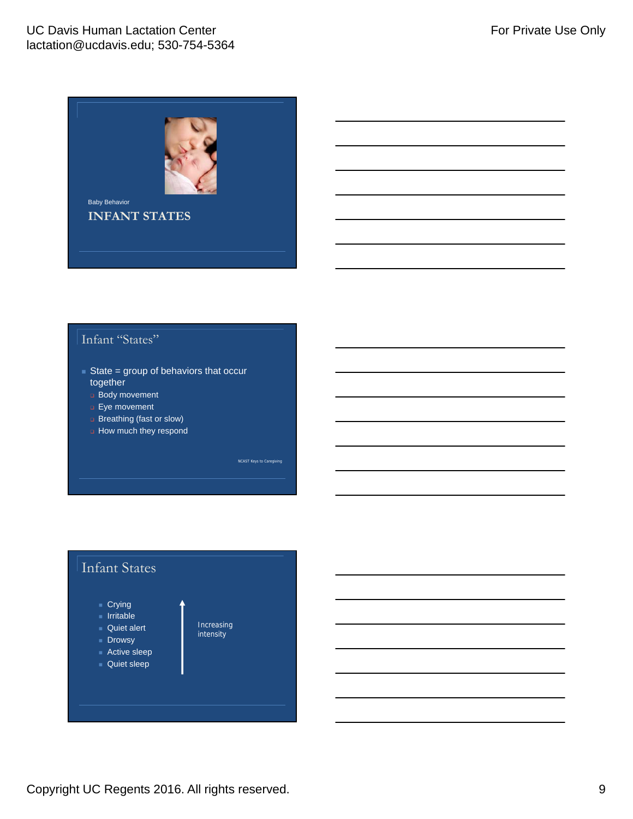

# Infant "States"

- State = group of behaviors that occur together
	- **Body movement**
	- **Eye movement**
	- **Breathing (fast or slow)**
	- **How much they respond**

NCAST Keys to Caregiving

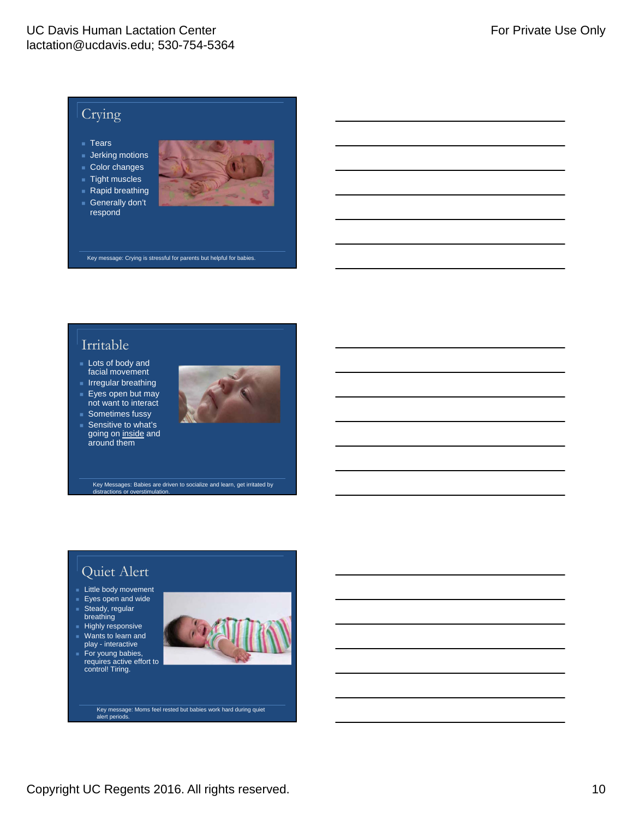### UC Davis Human Lactation Center lactation@ucdavis.edu; 530-754-5364

# Crying

- Tears
- Jerking motions
- Color changes
- $\blacksquare$  Tight muscles
- Rapid breathing
- Generally don't respond



Key message: Crying is stressful for parents but helpful for babies.

# Irritable

- **Lots of body and** facial movement
- **Irregular breathing Eyes open but may** not want to interact
- Sometimes fussy
- Sensitive to what's going on inside and around them



Key Messages: Babies are driven to socialize and learn, get irritated by s or overstimula

# Quiet Alert

- **Little body movement**
- $\overline{\phantom{a}}$  Eyes open and wide
- Steady, regular breathing
- $H$ ighly responsive Wants to learn and
- play interactive For young babies, requires active effort to control! Tiring.



Key message: Moms feel rested but babies work hard during quiet alert periods.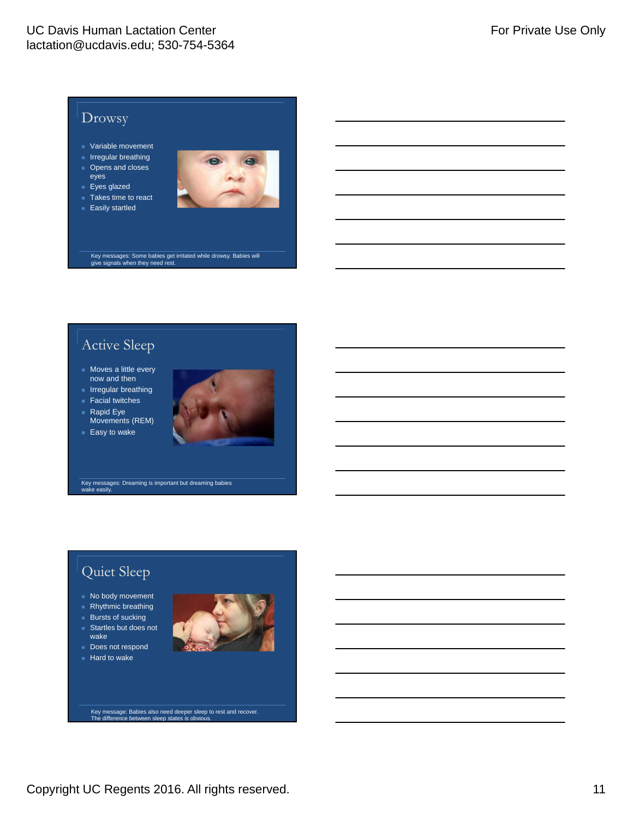

# Active Sleep

- **Moves a little every** now and then
- $I$  Irregular breathing
- **Facial twitches**
- $\blacksquare$  Rapid Eye Movements (REM)





Key messages: Dreaming is important but dreaming babies wake easily

# Quiet Sleep

- No body movement
- $\blacksquare$  Rhythmic breathing
- $Bursts$  of sucking
- Startles but does not wake
- Does not respond
- $Hard to wake$



Key message: Babies also need deeper sleep to rest and recover. The difference between sleep states is obvious.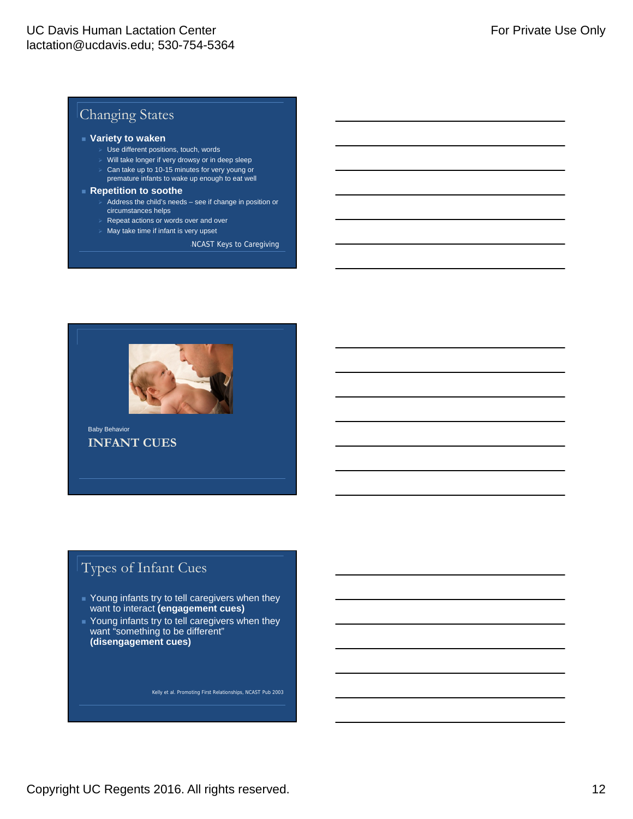# Changing States

#### **Variety to waken**

- Use different positions, touch, words
- Will take longer if very drowsy or in deep sleep
- $\ge$  Can take up to 10-15 minutes for very young or premature infants to wake up enough to eat well
- **Repetition to soothe**
	- Address the child's needs see if change in position or circumstances helps
	- $\triangleright$  Repeat actions or words over and over
	- $\triangleright$  May take time if infant is very upset

-NCAST Keys to Caregiving



**INFANT CUES** Baby Behavior

# Types of Infant Cues

- Young infants try to tell caregivers when they want to interact **(engagement cues)**
- **Young infants try to tell caregivers when they** want "something to be different" **(disengagement cues)**

Kelly et al. Promoting First Relationships, NCAST Pub 2003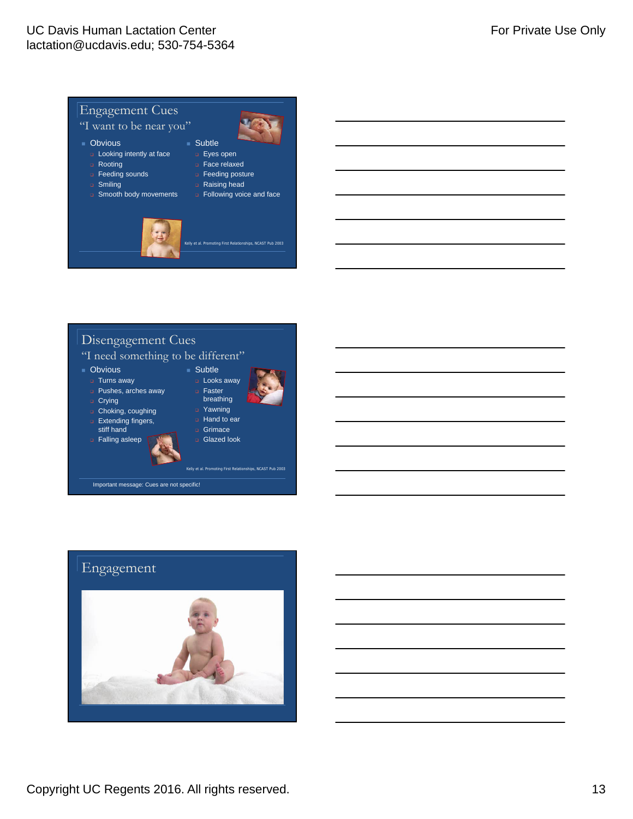

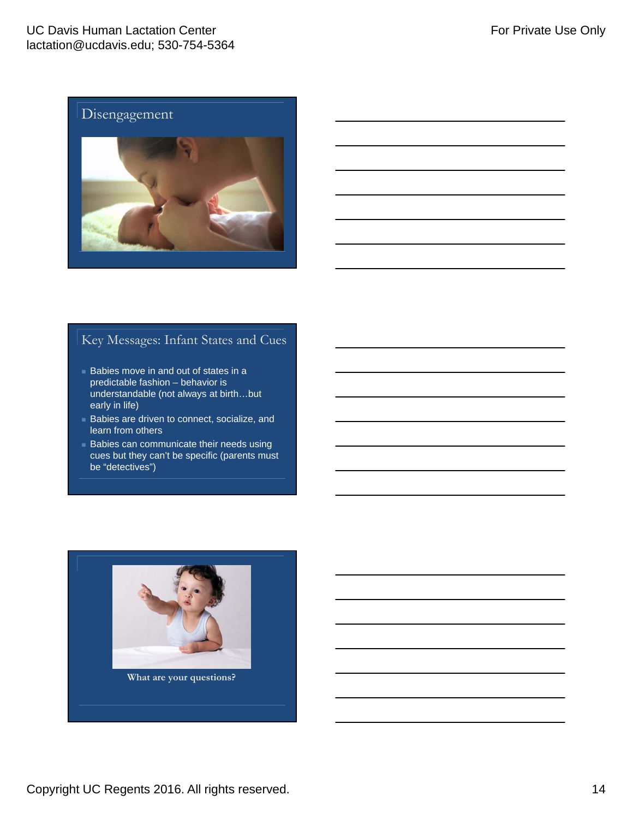### UC Davis Human Lactation Center lactation@ucdavis.edu; 530-754-5364



# Key Messages: Infant States and Cues

- **Babies move in and out of states in a** predictable fashion – behavior is understandable (not always at birth…but early in life)
- Babies are driven to connect, socialize, and learn from others
- **Babies can communicate their needs using** cues but they can't be specific (parents must be "detectives")

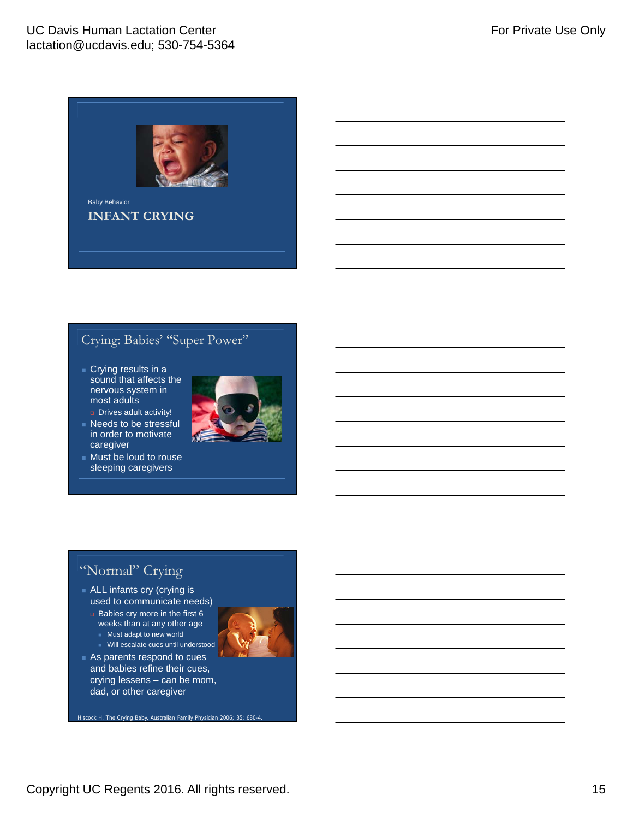

# Crying: Babies' "Super Power"

**Crying results in a** sound that affects the nervous system in most adults Drives adult activity!

**INFANT CRYING**

- **Needs to be stressful** in order to motivate caregiver
- **Must be loud to rouse** sleeping caregivers



# "Normal" Crying

- ALL infants cry (crying is used to communicate needs)
	- $\Box$  Babies cry more in the first 6 weeks than at any other age
		- Must adapt to new world
		- Will escalate cues until understood
- As parents respond to cues and babies refine their cues, crying lessens – can be mom, dad, or other caregiver

Hiscock H. The Crying Baby. Australian Family Physician 2006; 35: 680-4.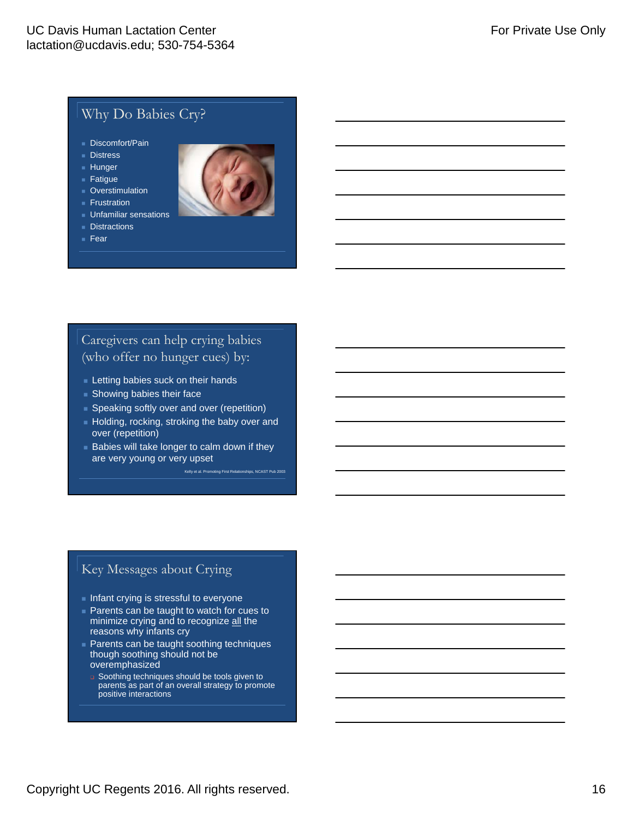# Why Do Babies Cry?

- Discomfort/Pain
- **Distress**
- $H$ unger
- $=$  Fatigue
- **Dverstimulation**
- $F$ rustration
- **Unfamiliar sensations**
- **Distractions**
- $Fear$
- 

# Caregivers can help crying babies (who offer no hunger cues) by:

- **Letting babies suck on their hands**
- **Showing babies their face**
- Speaking softly over and over (repetition)
- Holding, rocking, stroking the baby over and over (repetition)
- $\blacksquare$  Babies will take longer to calm down if they are very young or very upset

Kelly et al. Promoting First Relationships, NCAST Pub 2003

# Key Messages about Crying

- **Infant crying is stressful to everyone**
- **Parents can be taught to watch for cues to** minimize crying and to recognize all the reasons why infants cry
- **Parents can be taught soothing techniques** though soothing should not be overemphasized
- soothing techniques should be tools given to parents as part of an overall strategy to promote positive interactions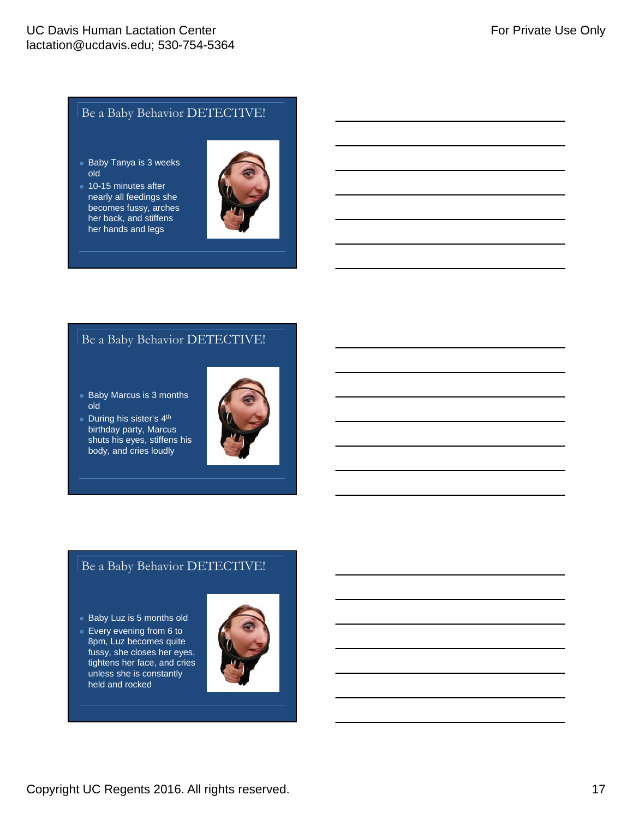# Be a Baby Behavior DETECTIVE!

- **Baby Tanya is 3 weeks** old
- **10-15 minutes after** nearly all feedings she becomes fussy, arches her back, and stiffens her hands and legs



### Be a Baby Behavior DETECTIVE!

- **Baby Marcus is 3 months** old
- During his sister's  $4<sup>th</sup>$ birthday party, Marcus shuts his eyes, stiffens his body, and cries loudly



## Be a Baby Behavior DETECTIVE!

- **Baby Luz is 5 months old**
- Every evening from  $6$  to 8pm, Luz becomes quite fussy, she closes her eyes, tightens her face, and cries unless she is constantly held and rocked

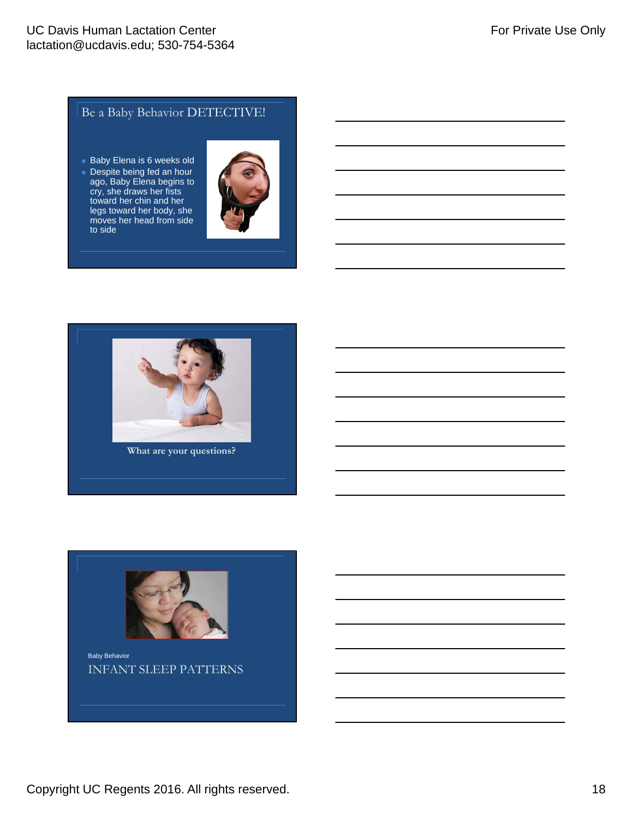# Be a Baby Behavior DETECTIVE!

- **Baby Elena is 6 weeks old**
- Despite being fed an hour ago, Baby Elena begins to cry, she draws her fists toward her chin and her legs toward her body, she moves her head from side to side





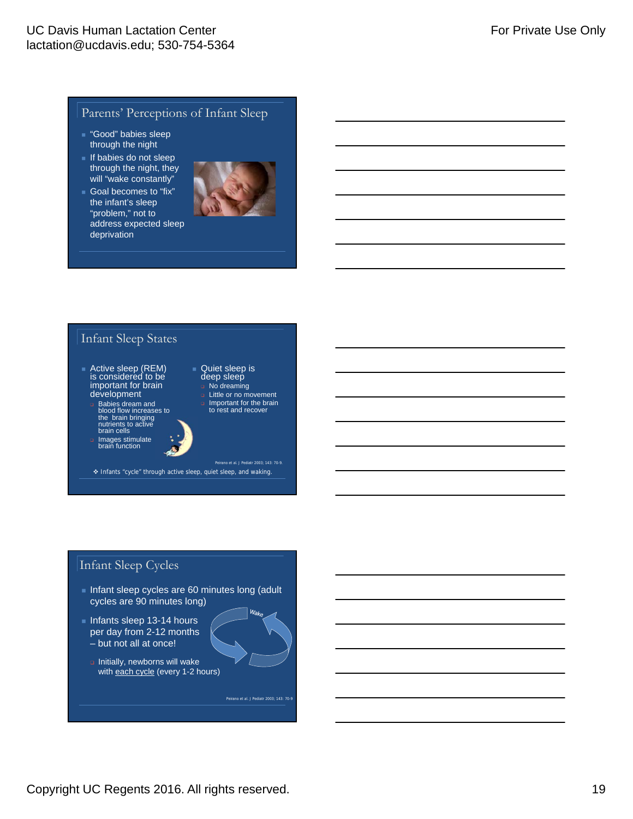### Parents' Perceptions of Infant Sleep

- "Good" babies sleep through the night
- $\blacksquare$  If babies do not sleep through the night, they will "wake constantly"
- Goal becomes to "fix" the infant's sleep "problem," not to address expected sleep deprivation



### Infant Sleep States

- Active sleep (REM) is considered to be important for brain development
	- Babies dream and blood flow increases to the brain bringing nutrients to active brain cells
- Images stimulate brain function
- Quiet sleep is deep sleep No dreaming Little or no movement
	- Important for the brain to rest and recover

Peirano et al. J Pediatr 2003; 143: 70-9. Infants "cycle" through active sleep, quiet sleep, and waking.

### Infant Sleep Cycles

- Infant sleep cycles are 60 minutes long (adult cycles are 90 minutes long)
- Infants sleep 13-14 hours per day from 2-12 months – but not all at once!
	- $\Box$  Initially, newborns will wake with each cycle (every 1-2 hours)

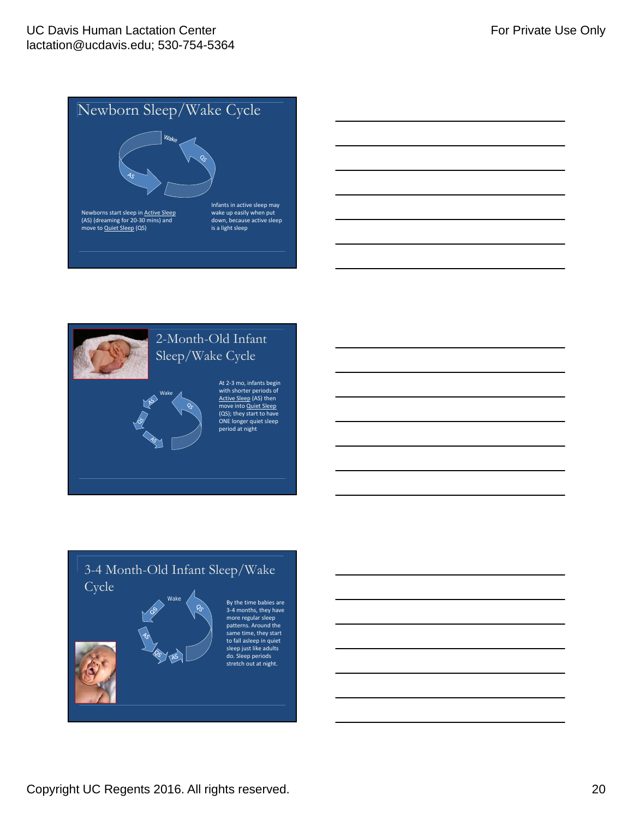



# 3-4 Month-Old Infant Sleep/Wake **Cycle** By the time babies are 3‐4 months, they have more regular sleep patterns. Around the same time, they start to fall asleep in quiet sleep just like adults do. Sleep periods stretch out at night.

Copyright UC Regents 2016. All rights reserved. 20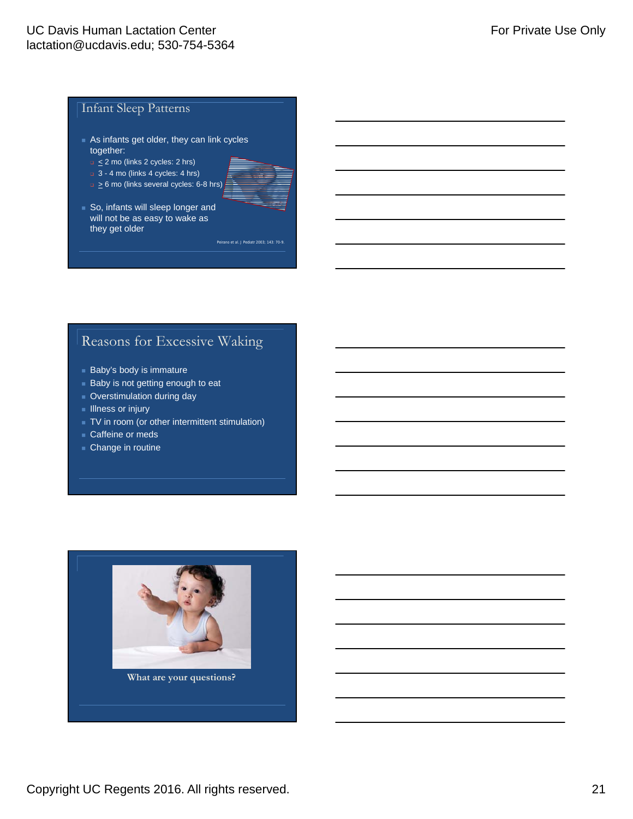### Infant Sleep Patterns

- As infants get older, they can link cycles together:
	- $\Box \leq 2$  mo (links 2 cycles: 2 hrs)
	- **a** 3 4 mo (links 4 cycles: 4 hrs)
	- $\Box \geq 6$  mo (links several cycles: 6-8 hrs)



So, infants will sleep longer and will not be as easy to wake as they get older

Peirano et al. J Pediatr 2003; 143: 70-9.

# Reasons for Excessive Waking

- **Baby's body is immature**
- **Baby is not getting enough to eat**
- **D** Overstimulation during day
- $\blacksquare$  Illness or injury
- TV in room (or other intermittent stimulation)
- Caffeine or meds
- Change in routine